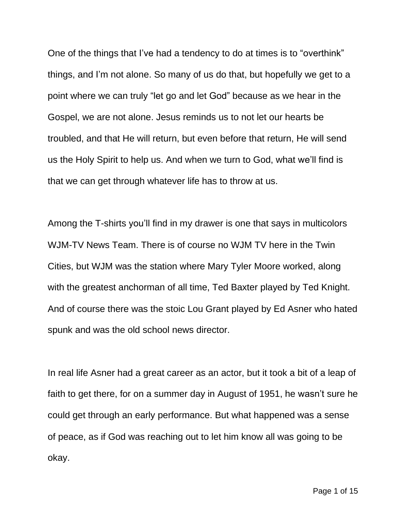One of the things that I've had a tendency to do at times is to "overthink" things, and I'm not alone. So many of us do that, but hopefully we get to a point where we can truly "let go and let God" because as we hear in the Gospel, we are not alone. Jesus reminds us to not let our hearts be troubled, and that He will return, but even before that return, He will send us the Holy Spirit to help us. And when we turn to God, what we'll find is that we can get through whatever life has to throw at us.

Among the T-shirts you'll find in my drawer is one that says in multicolors WJM-TV News Team. There is of course no WJM TV here in the Twin Cities, but WJM was the station where Mary Tyler Moore worked, along with the greatest anchorman of all time, Ted Baxter played by Ted Knight. And of course there was the stoic Lou Grant played by Ed Asner who hated spunk and was the old school news director.

In real life Asner had a great career as an actor, but it took a bit of a leap of faith to get there, for on a summer day in August of 1951, he wasn't sure he could get through an early performance. But what happened was a sense of peace, as if God was reaching out to let him know all was going to be okay.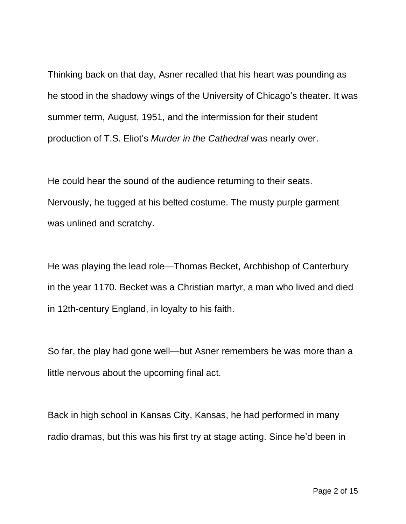Thinking back on that day, Asner recalled that his heart was pounding as he stood in the shadowy wings of the University of Chicago's theater. It was summer term, August, 1951, and the intermission for their student production of T.S. Eliot's *Murder in the Cathedral* was nearly over.

He could hear the sound of the audience returning to their seats. Nervously, he tugged at his belted costume. The musty purple garment was unlined and scratchy.

He was playing the lead role—Thomas Becket, Archbishop of Canterbury in the year 1170. Becket was a Christian martyr, a man who lived and died in 12th-century England, in loyalty to his faith.

So far, the play had gone well—but Asner remembers he was more than a little nervous about the upcoming final act.

Back in high school in Kansas City, Kansas, he had performed in many radio dramas, but this was his first try at stage acting. Since he'd been in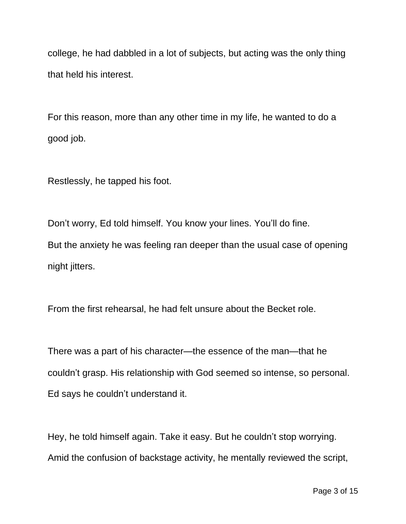college, he had dabbled in a lot of subjects, but acting was the only thing that held his interest.

For this reason, more than any other time in my life, he wanted to do a good job.

Restlessly, he tapped his foot.

Don't worry, Ed told himself. You know your lines. You'll do fine. But the anxiety he was feeling ran deeper than the usual case of opening night jitters.

From the first rehearsal, he had felt unsure about the Becket role.

There was a part of his character—the essence of the man—that he couldn't grasp. His relationship with God seemed so intense, so personal. Ed says he couldn't understand it.

Hey, he told himself again. Take it easy. But he couldn't stop worrying. Amid the confusion of backstage activity, he mentally reviewed the script,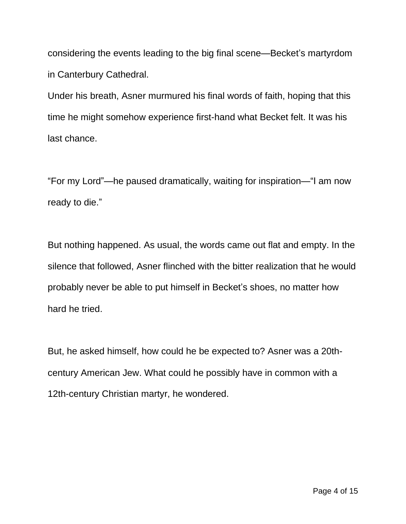considering the events leading to the big final scene—Becket's martyrdom in Canterbury Cathedral.

Under his breath, Asner murmured his final words of faith, hoping that this time he might somehow experience first-hand what Becket felt. It was his last chance.

"For my Lord"—he paused dramatically, waiting for inspiration—"I am now ready to die."

But nothing happened. As usual, the words came out flat and empty. In the silence that followed, Asner flinched with the bitter realization that he would probably never be able to put himself in Becket's shoes, no matter how hard he tried.

But, he asked himself, how could he be expected to? Asner was a 20thcentury American Jew. What could he possibly have in common with a 12th-century Christian martyr, he wondered.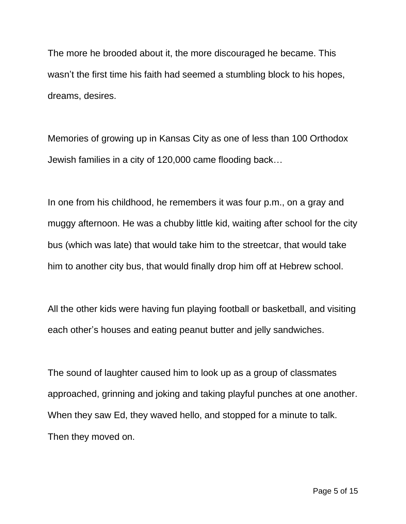The more he brooded about it, the more discouraged he became. This wasn't the first time his faith had seemed a stumbling block to his hopes, dreams, desires.

Memories of growing up in Kansas City as one of less than 100 Orthodox Jewish families in a city of 120,000 came flooding back…

In one from his childhood, he remembers it was four p.m., on a gray and muggy afternoon. He was a chubby little kid, waiting after school for the city bus (which was late) that would take him to the streetcar, that would take him to another city bus, that would finally drop him off at Hebrew school.

All the other kids were having fun playing football or basketball, and visiting each other's houses and eating peanut butter and jelly sandwiches.

The sound of laughter caused him to look up as a group of classmates approached, grinning and joking and taking playful punches at one another. When they saw Ed, they waved hello, and stopped for a minute to talk. Then they moved on.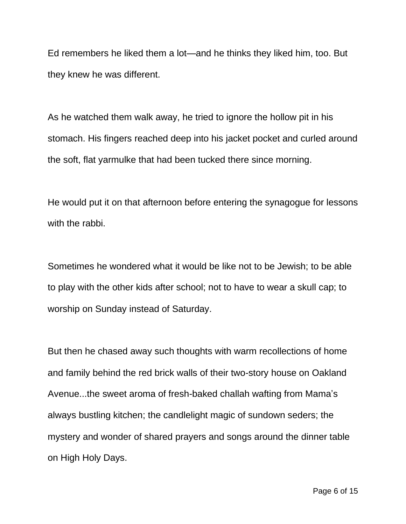Ed remembers he liked them a lot—and he thinks they liked him, too. But they knew he was different.

As he watched them walk away, he tried to ignore the hollow pit in his stomach. His fingers reached deep into his jacket pocket and curled around the soft, flat yarmulke that had been tucked there since morning.

He would put it on that afternoon before entering the synagogue for lessons with the rabbi.

Sometimes he wondered what it would be like not to be Jewish; to be able to play with the other kids after school; not to have to wear a skull cap; to worship on Sunday instead of Saturday.

But then he chased away such thoughts with warm recollections of home and family behind the red brick walls of their two-story house on Oakland Avenue...the sweet aroma of fresh-baked challah wafting from Mama's always bustling kitchen; the candlelight magic of sundown seders; the mystery and wonder of shared prayers and songs around the dinner table on High Holy Days.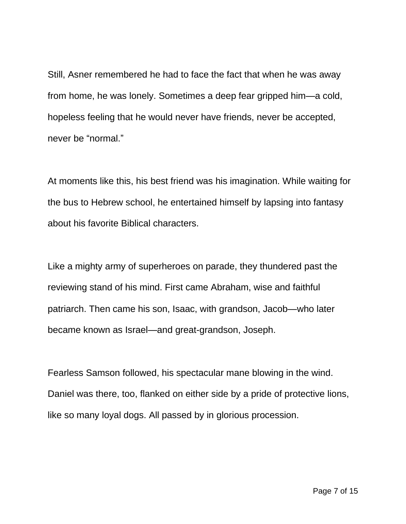Still, Asner remembered he had to face the fact that when he was away from home, he was lonely. Sometimes a deep fear gripped him—a cold, hopeless feeling that he would never have friends, never be accepted, never be "normal."

At moments like this, his best friend was his imagination. While waiting for the bus to Hebrew school, he entertained himself by lapsing into fantasy about his favorite Biblical characters.

Like a mighty army of superheroes on parade, they thundered past the reviewing stand of his mind. First came Abraham, wise and faithful patriarch. Then came his son, Isaac, with grandson, Jacob—who later became known as Israel—and great-grandson, Joseph.

Fearless Samson followed, his spectacular mane blowing in the wind. Daniel was there, too, flanked on either side by a pride of protective lions, like so many loyal dogs. All passed by in glorious procession.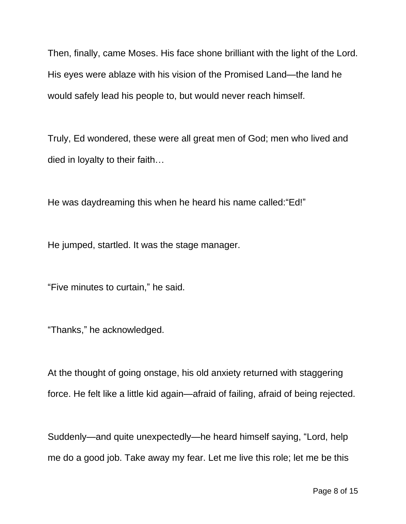Then, finally, came Moses. His face shone brilliant with the light of the Lord. His eyes were ablaze with his vision of the Promised Land—the land he would safely lead his people to, but would never reach himself.

Truly, Ed wondered, these were all great men of God; men who lived and died in loyalty to their faith…

He was daydreaming this when he heard his name called:"Ed!"

He jumped, startled. It was the stage manager.

"Five minutes to curtain," he said.

"Thanks," he acknowledged.

At the thought of going onstage, his old anxiety returned with staggering force. He felt like a little kid again—afraid of failing, afraid of being rejected.

Suddenly—and quite unexpectedly—he heard himself saying, "Lord, help me do a good job. Take away my fear. Let me live this role; let me be this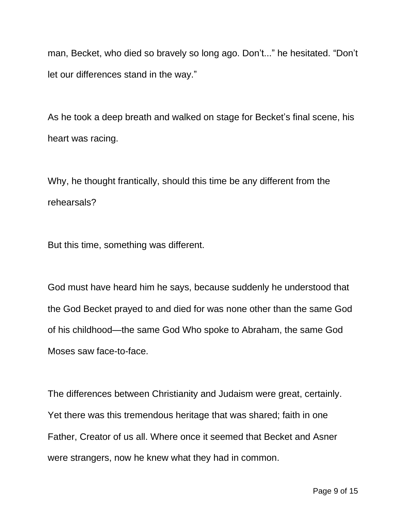man, Becket, who died so bravely so long ago. Don't..." he hesitated. "Don't let our differences stand in the way."

As he took a deep breath and walked on stage for Becket's final scene, his heart was racing.

Why, he thought frantically, should this time be any different from the rehearsals?

But this time, something was different.

God must have heard him he says, because suddenly he understood that the God Becket prayed to and died for was none other than the same God of his childhood—the same God Who spoke to Abraham, the same God Moses saw face-to-face.

The differences between Christianity and Judaism were great, certainly. Yet there was this tremendous heritage that was shared; faith in one Father, Creator of us all. Where once it seemed that Becket and Asner were strangers, now he knew what they had in common.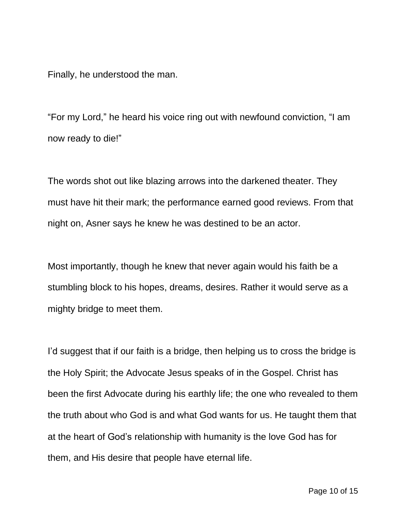Finally, he understood the man.

"For my Lord," he heard his voice ring out with newfound conviction, "I am now ready to die!"

The words shot out like blazing arrows into the darkened theater. They must have hit their mark; the performance earned good reviews. From that night on, Asner says he knew he was destined to be an actor.

Most importantly, though he knew that never again would his faith be a stumbling block to his hopes, dreams, desires. Rather it would serve as a mighty bridge to meet them.

I'd suggest that if our faith is a bridge, then helping us to cross the bridge is the Holy Spirit; the Advocate Jesus speaks of in the Gospel. Christ has been the first Advocate during his earthly life; the one who revealed to them the truth about who God is and what God wants for us. He taught them that at the heart of God's relationship with humanity is the love God has for them, and His desire that people have eternal life.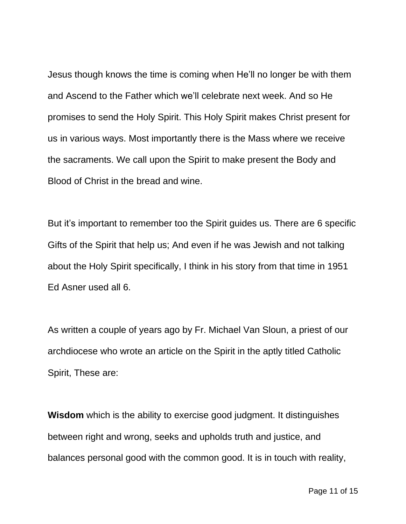Jesus though knows the time is coming when He'll no longer be with them and Ascend to the Father which we'll celebrate next week. And so He promises to send the Holy Spirit. This Holy Spirit makes Christ present for us in various ways. Most importantly there is the Mass where we receive the sacraments. We call upon the Spirit to make present the Body and Blood of Christ in the bread and wine.

But it's important to remember too the Spirit guides us. There are 6 specific Gifts of the Spirit that help us; And even if he was Jewish and not talking about the Holy Spirit specifically, I think in his story from that time in 1951 Ed Asner used all 6.

As written a couple of years ago by Fr. Michael Van Sloun, a priest of our archdiocese who wrote an article on the Spirit in the aptly titled Catholic Spirit, These are:

**Wisdom** which is the ability to exercise good judgment. It distinguishes between right and wrong, seeks and upholds truth and justice, and balances personal good with the common good. It is in touch with reality,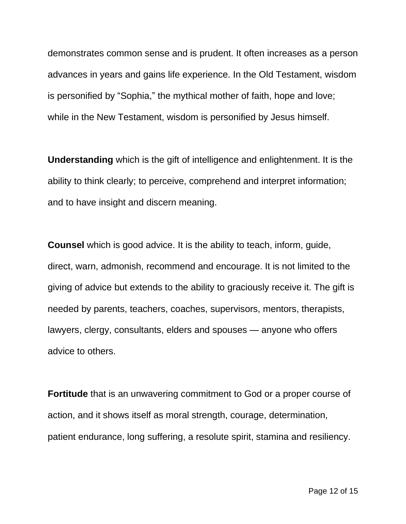demonstrates common sense and is prudent. It often increases as a person advances in years and gains life experience. In the Old Testament, wisdom is personified by "Sophia," the mythical mother of faith, hope and love; while in the New Testament, wisdom is personified by Jesus himself.

**Understanding** which is the gift of intelligence and enlightenment. It is the ability to think clearly; to perceive, comprehend and interpret information; and to have insight and discern meaning.

**Counsel** which is good advice. It is the ability to teach, inform, guide, direct, warn, admonish, recommend and encourage. It is not limited to the giving of advice but extends to the ability to graciously receive it. The gift is needed by parents, teachers, coaches, supervisors, mentors, therapists, lawyers, clergy, consultants, elders and spouses — anyone who offers advice to others.

**Fortitude** that is an unwavering commitment to God or a proper course of action, and it shows itself as moral strength, courage, determination, patient endurance, long suffering, a resolute spirit, stamina and resiliency.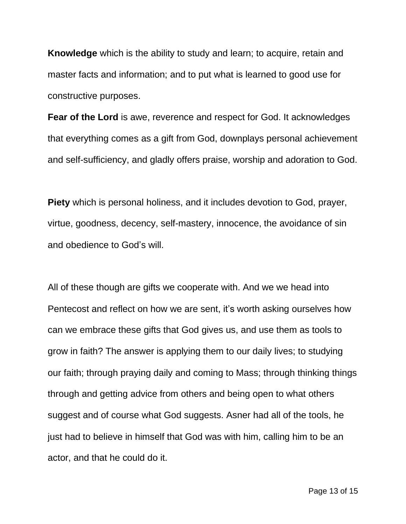**Knowledge** which is the ability to study and learn; to acquire, retain and master facts and information; and to put what is learned to good use for constructive purposes.

**Fear of the Lord** is awe, reverence and respect for God. It acknowledges that everything comes as a gift from God, downplays personal achievement and self-sufficiency, and gladly offers praise, worship and adoration to God.

**Piety** which is personal holiness, and it includes devotion to God, prayer, virtue, goodness, decency, self-mastery, innocence, the avoidance of sin and obedience to God's will.

All of these though are gifts we cooperate with. And we we head into Pentecost and reflect on how we are sent, it's worth asking ourselves how can we embrace these gifts that God gives us, and use them as tools to grow in faith? The answer is applying them to our daily lives; to studying our faith; through praying daily and coming to Mass; through thinking things through and getting advice from others and being open to what others suggest and of course what God suggests. Asner had all of the tools, he just had to believe in himself that God was with him, calling him to be an actor, and that he could do it.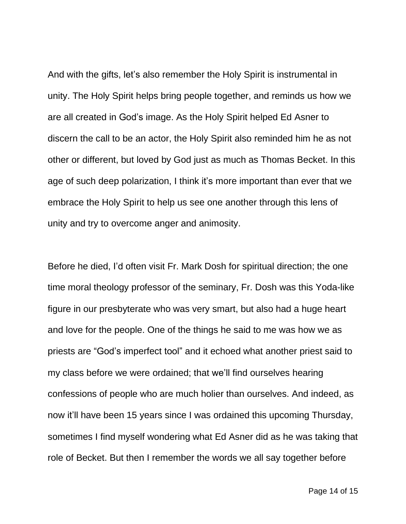And with the gifts, let's also remember the Holy Spirit is instrumental in unity. The Holy Spirit helps bring people together, and reminds us how we are all created in God's image. As the Holy Spirit helped Ed Asner to discern the call to be an actor, the Holy Spirit also reminded him he as not other or different, but loved by God just as much as Thomas Becket. In this age of such deep polarization, I think it's more important than ever that we embrace the Holy Spirit to help us see one another through this lens of unity and try to overcome anger and animosity.

Before he died, I'd often visit Fr. Mark Dosh for spiritual direction; the one time moral theology professor of the seminary, Fr. Dosh was this Yoda-like figure in our presbyterate who was very smart, but also had a huge heart and love for the people. One of the things he said to me was how we as priests are "God's imperfect tool" and it echoed what another priest said to my class before we were ordained; that we'll find ourselves hearing confessions of people who are much holier than ourselves. And indeed, as now it'll have been 15 years since I was ordained this upcoming Thursday, sometimes I find myself wondering what Ed Asner did as he was taking that role of Becket. But then I remember the words we all say together before